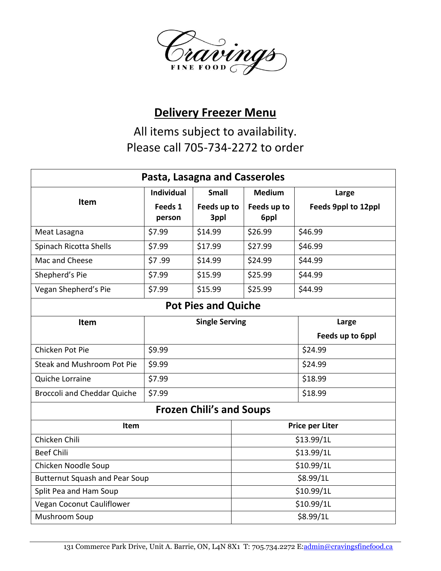

## **Delivery Freezer Menu**

All items subject to availability. Please call 705-734-2272 to order

| Pasta, Lasagna and Casseroles         |                       |              |                        |                     |  |
|---------------------------------------|-----------------------|--------------|------------------------|---------------------|--|
| <b>Item</b>                           | <b>Individual</b>     | <b>Small</b> | <b>Medium</b>          | Large               |  |
|                                       | Feeds 1               | Feeds up to  | Feeds up to            | Feeds 9ppl to 12ppl |  |
|                                       | person                | 3ppl         | 6ppl                   |                     |  |
| Meat Lasagna                          | \$7.99                | \$14.99      | \$26.99                | \$46.99             |  |
| Spinach Ricotta Shells                | \$7.99                | \$17.99      | \$27.99                | \$46.99             |  |
| Mac and Cheese                        | \$7.99                | \$14.99      | \$24.99                | \$44.99             |  |
| Shepherd's Pie                        | \$7.99                | \$15.99      | \$25.99                | \$44.99             |  |
| Vegan Shepherd's Pie                  | \$7.99                | \$15.99      | \$25.99                | \$44.99             |  |
| <b>Pot Pies and Quiche</b>            |                       |              |                        |                     |  |
| Item                                  | <b>Single Serving</b> |              | Large                  |                     |  |
|                                       |                       |              |                        | Feeds up to 6ppl    |  |
| Chicken Pot Pie                       | \$9.99                |              |                        | \$24.99             |  |
| <b>Steak and Mushroom Pot Pie</b>     | \$9.99                |              |                        | \$24.99             |  |
| Quiche Lorraine                       | \$7.99                |              |                        | \$18.99             |  |
| <b>Broccoli and Cheddar Quiche</b>    | \$7.99                |              |                        | \$18.99             |  |
| <b>Frozen Chili's and Soups</b>       |                       |              |                        |                     |  |
| Item                                  |                       |              | <b>Price per Liter</b> |                     |  |
| Chicken Chili                         |                       |              | \$13.99/1L             |                     |  |
| <b>Beef Chili</b>                     |                       |              | \$13.99/1L             |                     |  |
| Chicken Noodle Soup                   |                       |              | \$10.99/1L             |                     |  |
| <b>Butternut Squash and Pear Soup</b> |                       |              | \$8.99/1L              |                     |  |
| Split Pea and Ham Soup                |                       |              | \$10.99/1L             |                     |  |
| Vegan Coconut Cauliflower             |                       |              | \$10.99/1L             |                     |  |
| Mushroom Soup                         |                       |              | \$8.99/1L              |                     |  |